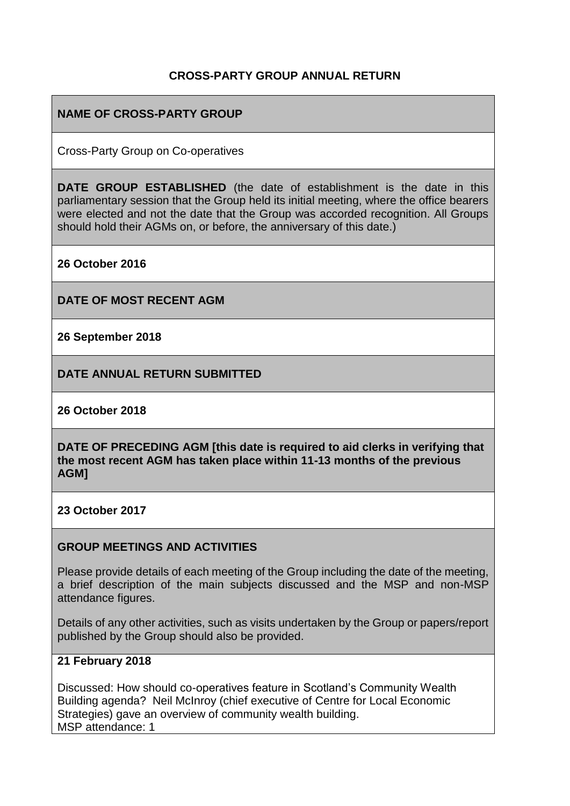### **CROSS-PARTY GROUP ANNUAL RETURN**

## **NAME OF CROSS-PARTY GROUP**

Cross-Party Group on Co-operatives

**DATE GROUP ESTABLISHED** (the date of establishment is the date in this parliamentary session that the Group held its initial meeting, where the office bearers were elected and not the date that the Group was accorded recognition. All Groups should hold their AGMs on, or before, the anniversary of this date.)

**26 October 2016**

**DATE OF MOST RECENT AGM**

**26 September 2018**

**DATE ANNUAL RETURN SUBMITTED**

**26 October 2018**

**DATE OF PRECEDING AGM [this date is required to aid clerks in verifying that the most recent AGM has taken place within 11-13 months of the previous AGM]**

**23 October 2017**

#### **GROUP MEETINGS AND ACTIVITIES**

Please provide details of each meeting of the Group including the date of the meeting, a brief description of the main subjects discussed and the MSP and non-MSP attendance figures.

Details of any other activities, such as visits undertaken by the Group or papers/report published by the Group should also be provided.

### **21 February 2018**

Discussed: How should co-operatives feature in Scotland's Community Wealth Building agenda? Neil McInroy (chief executive of Centre for Local Economic Strategies) gave an overview of community wealth building. MSP attendance: 1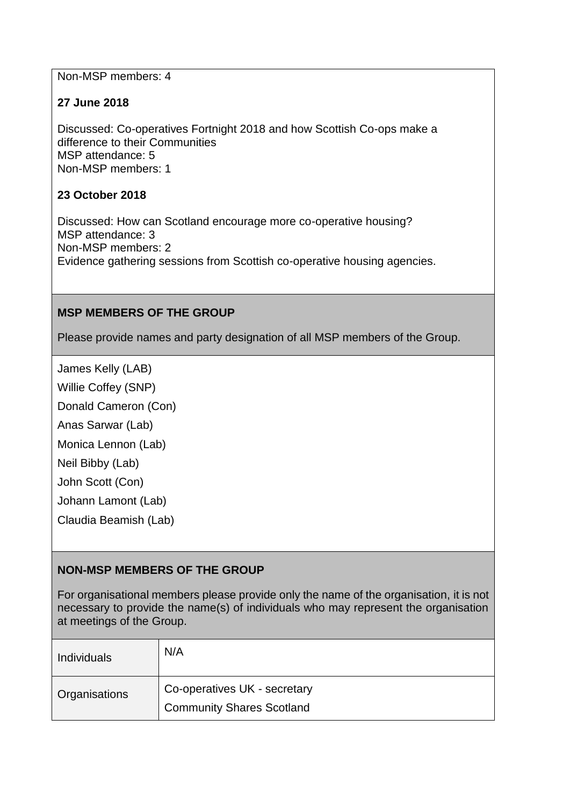Non-MSP members: 4

### **27 June 2018**

Discussed: Co-operatives Fortnight 2018 and how Scottish Co-ops make a difference to their Communities MSP attendance: 5 Non-MSP members: 1

#### **23 October 2018**

Discussed: How can Scotland encourage more co-operative housing? MSP attendance: 3 Non-MSP members: 2 Evidence gathering sessions from Scottish co-operative housing agencies.

### **MSP MEMBERS OF THE GROUP**

Please provide names and party designation of all MSP members of the Group.

James Kelly (LAB)

Willie Coffey (SNP)

Donald Cameron (Con)

Anas Sarwar (Lab)

Monica Lennon (Lab)

Neil Bibby (Lab)

John Scott (Con)

Johann Lamont (Lab)

Claudia Beamish (Lab)

### **NON-MSP MEMBERS OF THE GROUP**

For organisational members please provide only the name of the organisation, it is not necessary to provide the name(s) of individuals who may represent the organisation at meetings of the Group.

| Individuals   | N/A                                                              |
|---------------|------------------------------------------------------------------|
| Organisations | Co-operatives UK - secretary<br><b>Community Shares Scotland</b> |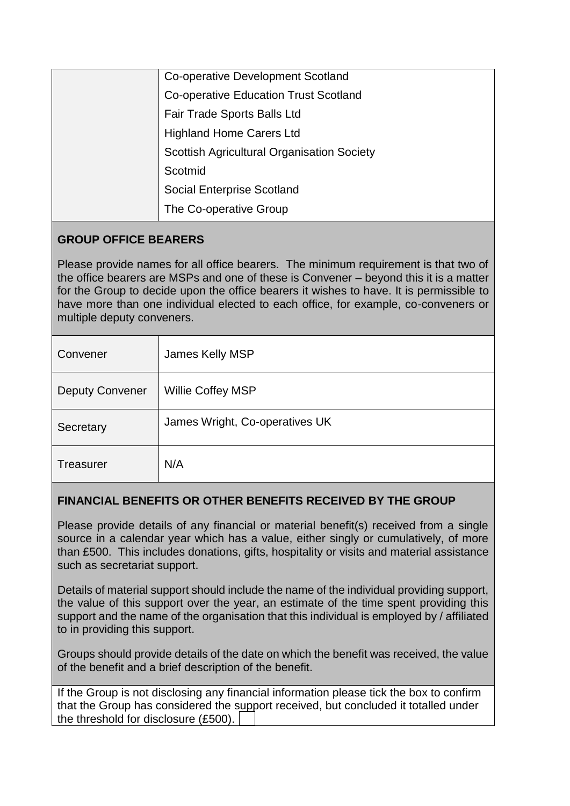|  | Co-operative Development Scotland                 |
|--|---------------------------------------------------|
|  | <b>Co-operative Education Trust Scotland</b>      |
|  | Fair Trade Sports Balls Ltd                       |
|  | <b>Highland Home Carers Ltd</b>                   |
|  | <b>Scottish Agricultural Organisation Society</b> |
|  | Scotmid                                           |
|  | <b>Social Enterprise Scotland</b>                 |
|  | The Co-operative Group                            |
|  |                                                   |

# **GROUP OFFICE BEARERS**

Please provide names for all office bearers. The minimum requirement is that two of the office bearers are MSPs and one of these is Convener – beyond this it is a matter for the Group to decide upon the office bearers it wishes to have. It is permissible to have more than one individual elected to each office, for example, co-conveners or multiple deputy conveners.

| Convener               | James Kelly MSP                |
|------------------------|--------------------------------|
| <b>Deputy Convener</b> | Willie Coffey MSP              |
| Secretary              | James Wright, Co-operatives UK |
| <b>Treasurer</b>       | N/A                            |

# **FINANCIAL BENEFITS OR OTHER BENEFITS RECEIVED BY THE GROUP**

Please provide details of any financial or material benefit(s) received from a single source in a calendar year which has a value, either singly or cumulatively, of more than £500. This includes donations, gifts, hospitality or visits and material assistance such as secretariat support.

Details of material support should include the name of the individual providing support, the value of this support over the year, an estimate of the time spent providing this support and the name of the organisation that this individual is employed by / affiliated to in providing this support.

Groups should provide details of the date on which the benefit was received, the value of the benefit and a brief description of the benefit.

If the Group is not disclosing any financial information please tick the box to confirm that the Group has considered the support received, but concluded it totalled under the threshold for disclosure (£500).